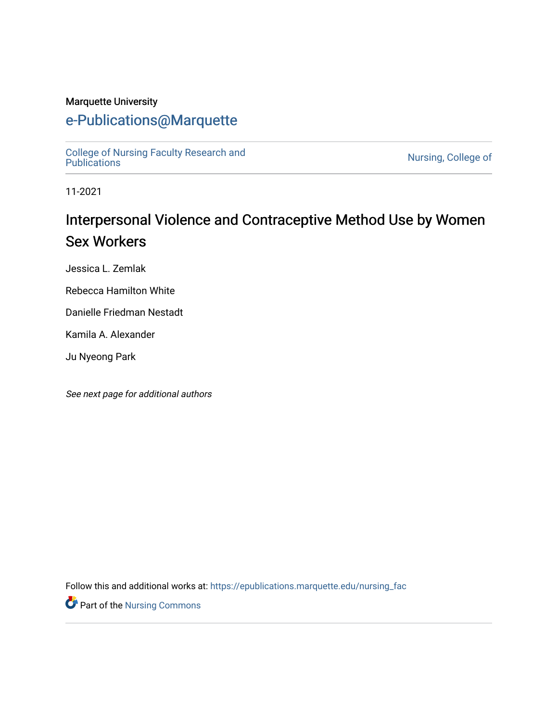#### Marquette University

## [e-Publications@Marquette](https://epublications.marquette.edu/)

[College of Nursing Faculty Research and](https://epublications.marquette.edu/nursing_fac)<br>Publications

Nursing, College of

11-2021

# Interpersonal Violence and Contraceptive Method Use by Women Sex Workers

Jessica L. Zemlak

Rebecca Hamilton White

Danielle Friedman Nestadt

Kamila A. Alexander

Ju Nyeong Park

See next page for additional authors

Follow this and additional works at: [https://epublications.marquette.edu/nursing\\_fac](https://epublications.marquette.edu/nursing_fac?utm_source=epublications.marquette.edu%2Fnursing_fac%2F894&utm_medium=PDF&utm_campaign=PDFCoverPages)

Part of the [Nursing Commons](http://network.bepress.com/hgg/discipline/718?utm_source=epublications.marquette.edu%2Fnursing_fac%2F894&utm_medium=PDF&utm_campaign=PDFCoverPages)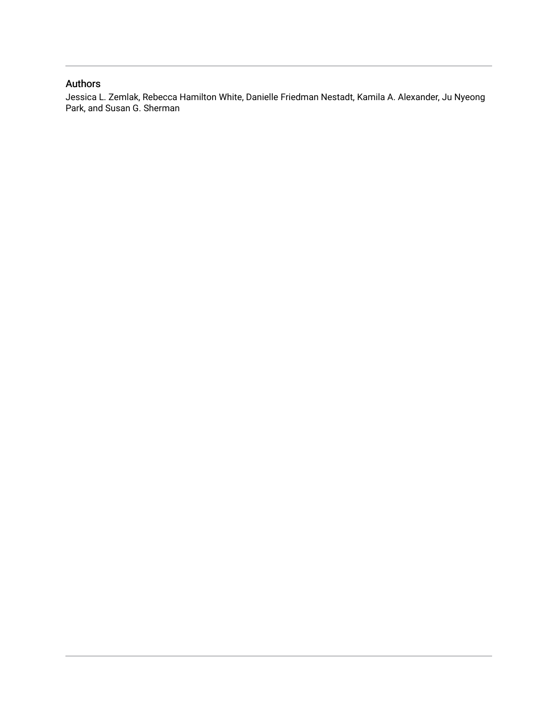#### Authors

Jessica L. Zemlak, Rebecca Hamilton White, Danielle Friedman Nestadt, Kamila A. Alexander, Ju Nyeong Park, and Susan G. Sherman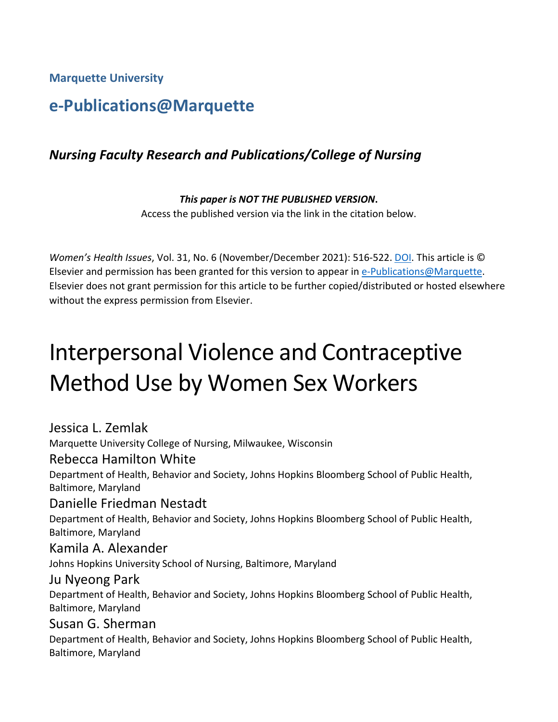**Marquette University**

## **e-Publications@Marquette**

## *Nursing Faculty Research and Publications/College of Nursing*

*This paper is NOT THE PUBLISHED VERSION***.**  Access the published version via the link in the citation below.

*Women's Health Issues*, Vol. 31, No. 6 (November/December 2021): 516-522. [DOI.](https://doi.org/10.1016/j.whi.2021.08.001) This article is © Elsevier and permission has been granted for this version to appear in [e-Publications@Marquette.](http://epublications.marquette.edu/) Elsevier does not grant permission for this article to be further copied/distributed or hosted elsewhere without the express permission from Elsevier.

# Interpersonal Violence and Contraceptive Method Use by Women Sex Workers

Jessica L. Zemlak Marquette University College of Nursing, Milwaukee, Wisconsin Rebecca Hamilton White Department of Health, Behavior and Society, Johns Hopkins Bloomberg School of Public Health, Baltimore, Maryland Danielle Friedman Nestadt Department of Health, Behavior and Society, Johns Hopkins Bloomberg School of Public Health, Baltimore, Maryland Kamila A. Alexander Johns Hopkins University School of Nursing, Baltimore, Maryland Ju Nyeong Park Department of Health, Behavior and Society, Johns Hopkins Bloomberg School of Public Health, Baltimore, Maryland Susan G. Sherman Department of Health, Behavior and Society, Johns Hopkins Bloomberg School of Public Health, Baltimore, Maryland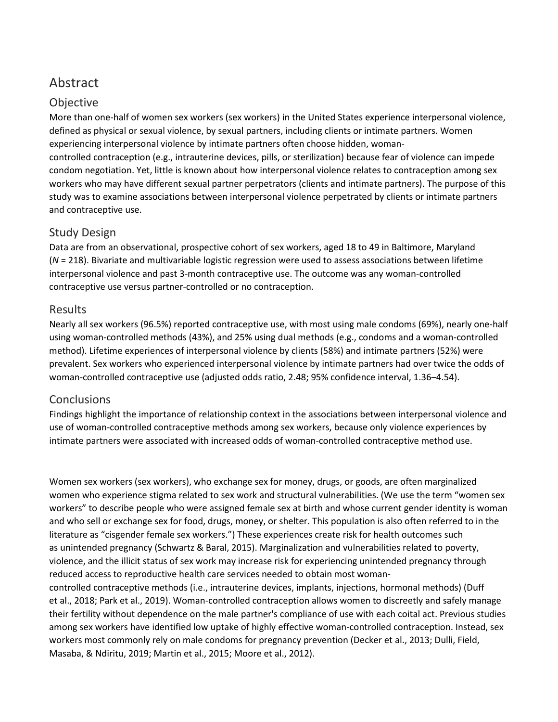## Abstract

#### Objective

More than one-half of women sex workers (sex workers) in the United States experience interpersonal violence, defined as physical or sexual violence, by sexual partners, including clients or intimate partners. Women experiencing interpersonal violence by intimate partners often choose hidden, woman-

controlled contraception (e.g., intrauterine devices, pills, or sterilization) because fear of violence can impede condom negotiation. Yet, little is known about how interpersonal violence relates to contraception among sex workers who may have different sexual partner perpetrators (clients and intimate partners). The purpose of this study was to examine associations between interpersonal violence perpetrated by clients or intimate partners and contraceptive use.

#### Study Design

Data are from an observational, prospective cohort of sex workers, aged 18 to 49 in Baltimore, Maryland (*N* = 218). Bivariate and multivariable logistic regression were used to assess associations between lifetime interpersonal violence and past 3-month contraceptive use. The outcome was any woman-controlled contraceptive use versus partner-controlled or no contraception.

#### Results

Nearly all sex workers (96.5%) reported contraceptive use, with most using male condoms (69%), nearly one-half using woman-controlled methods (43%), and 25% using dual methods (e.g., condoms and a woman-controlled method). Lifetime experiences of interpersonal violence by clients (58%) and intimate partners (52%) were prevalent. Sex workers who experienced interpersonal violence by intimate partners had over twice the odds of woman-controlled contraceptive use (adjusted odds ratio, 2.48; 95% confidence interval, 1.36–4.54).

#### Conclusions

Findings highlight the importance of relationship context in the associations between interpersonal violence and use of woman-controlled contraceptive methods among sex workers, because only violence experiences by intimate partners were associated with increased odds of woman-controlled contraceptive method use.

Women sex workers (sex workers), who exchange sex for money, drugs, or goods, are often marginalized women who experience stigma related to sex work and structural vulnerabilities. (We use the term "women sex workers" to describe people who were assigned female sex at birth and whose current gender identity is woman and who sell or exchange sex for food, drugs, money, or shelter. This population is also often referred to in the literature as "cisgender female sex workers.") These experiences create risk for health outcomes such as unintended pregnancy (Schwartz & Baral, 2015). Marginalization and vulnerabilities related to poverty, violence, and the illicit status of sex work may increase risk for experiencing unintended pregnancy through reduced access to reproductive health care services needed to obtain most woman-

controlled contraceptive methods (i.e., intrauterine devices, implants, injections, hormonal methods) (Duff et al., 2018; Park et al., 2019). Woman-controlled contraception allows women to discreetly and safely manage their fertility without dependence on the male partner's compliance of use with each coital act. Previous studies among sex workers have identified low uptake of highly effective woman-controlled contraception. Instead, sex workers most commonly rely on male condoms for pregnancy prevention (Decker et al., 2013; Dulli, Field, Masaba, & Ndiritu, 2019; Martin et al., 2015; Moore et al., 2012).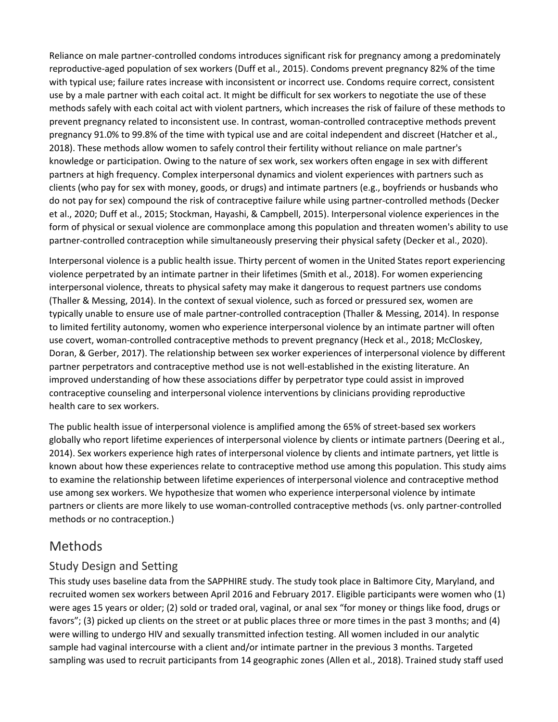Reliance on male partner-controlled condoms introduces significant risk for pregnancy among a predominately reproductive-aged population of sex workers (Duff et al., 2015). Condoms prevent pregnancy 82% of the time with typical use; failure rates increase with inconsistent or incorrect use. Condoms require correct, consistent use by a male partner with each coital act. It might be difficult for sex workers to negotiate the use of these methods safely with each coital act with violent partners, which increases the risk of failure of these methods to prevent pregnancy related to inconsistent use. In contrast, woman-controlled contraceptive methods prevent pregnancy 91.0% to 99.8% of the time with typical use and are coital independent and discreet (Hatcher et al., 2018). These methods allow women to safely control their fertility without reliance on male partner's knowledge or participation. Owing to the nature of sex work, sex workers often engage in sex with different partners at high frequency. Complex interpersonal dynamics and violent experiences with partners such as clients (who pay for sex with money, goods, or drugs) and intimate partners (e.g., boyfriends or husbands who do not pay for sex) compound the risk of contraceptive failure while using partner-controlled methods (Decker et al., 2020; Duff et al., 2015; Stockman, Hayashi, & Campbell, 2015). Interpersonal violence experiences in the form of physical or sexual violence are commonplace among this population and threaten women's ability to use partner-controlled contraception while simultaneously preserving their physical safety (Decker et al., 2020).

Interpersonal violence is a public health issue. Thirty percent of women in the United States report experiencing violence perpetrated by an intimate partner in their lifetimes (Smith et al., 2018). For women experiencing interpersonal violence, threats to physical safety may make it dangerous to request partners use condoms (Thaller & Messing, 2014). In the context of sexual violence, such as forced or pressured sex, women are typically unable to ensure use of male partner-controlled contraception (Thaller & Messing, 2014). In response to limited fertility autonomy, women who experience interpersonal violence by an intimate partner will often use covert, woman-controlled contraceptive methods to prevent pregnancy (Heck et al., 2018; McCloskey, Doran, & Gerber, 2017). The relationship between sex worker experiences of interpersonal violence by different partner perpetrators and contraceptive method use is not well-established in the existing literature. An improved understanding of how these associations differ by perpetrator type could assist in improved contraceptive counseling and interpersonal violence interventions by clinicians providing reproductive health care to sex workers.

The public health issue of interpersonal violence is amplified among the 65% of street-based sex workers globally who report lifetime experiences of interpersonal violence by clients or intimate partners (Deering et al., 2014). Sex workers experience high rates of interpersonal violence by clients and intimate partners, yet little is known about how these experiences relate to contraceptive method use among this population. This study aims to examine the relationship between lifetime experiences of interpersonal violence and contraceptive method use among sex workers. We hypothesize that women who experience interpersonal violence by intimate partners or clients are more likely to use woman-controlled contraceptive methods (vs. only partner-controlled methods or no contraception.)

## Methods

#### Study Design and Setting

This study uses baseline data from the SAPPHIRE study. The study took place in Baltimore City, Maryland, and recruited women sex workers between April 2016 and February 2017. Eligible participants were women who (1) were ages 15 years or older; (2) sold or traded oral, vaginal, or anal sex "for money or things like food, drugs or favors"; (3) picked up clients on the street or at public places three or more times in the past 3 months; and (4) were willing to undergo HIV and sexually transmitted infection testing. All women included in our analytic sample had vaginal intercourse with a client and/or intimate partner in the previous 3 months. Targeted sampling was used to recruit participants from 14 geographic zones (Allen et al., 2018). Trained study staff used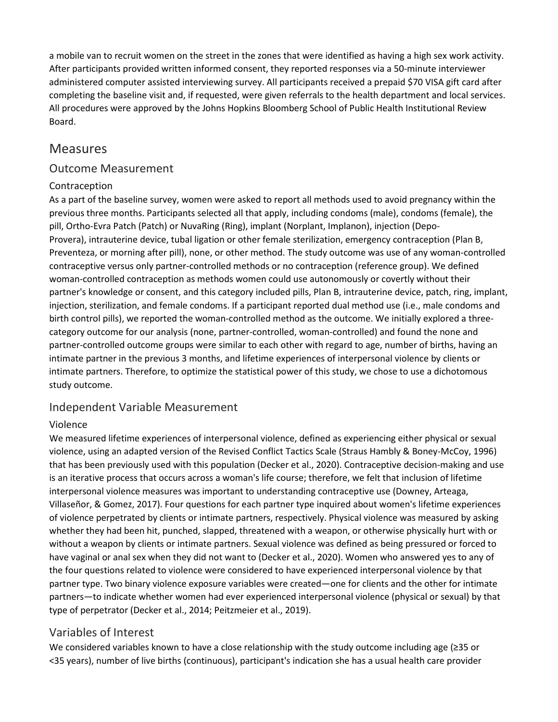a mobile van to recruit women on the street in the zones that were identified as having a high sex work activity. After participants provided written informed consent, they reported responses via a 50-minute interviewer administered computer assisted interviewing survey. All participants received a prepaid \$70 VISA gift card after completing the baseline visit and, if requested, were given referrals to the health department and local services. All procedures were approved by the Johns Hopkins Bloomberg School of Public Health Institutional Review Board.

#### Measures

#### Outcome Measurement

#### Contraception

As a part of the baseline survey, women were asked to report all methods used to avoid pregnancy within the previous three months. Participants selected all that apply, including condoms (male), condoms (female), the pill, Ortho-Evra Patch (Patch) or NuvaRing (Ring), implant (Norplant, Implanon), injection (Depo-Provera), intrauterine device, tubal ligation or other female sterilization, emergency contraception (Plan B, Preventeza, or morning after pill), none, or other method. The study outcome was use of any woman-controlled contraceptive versus only partner-controlled methods or no contraception (reference group). We defined woman-controlled contraception as methods women could use autonomously or covertly without their partner's knowledge or consent, and this category included pills, Plan B, intrauterine device, patch, ring, implant, injection, sterilization, and female condoms. If a participant reported dual method use (i.e., male condoms and birth control pills), we reported the woman-controlled method as the outcome. We initially explored a threecategory outcome for our analysis (none, partner-controlled, woman-controlled) and found the none and partner-controlled outcome groups were similar to each other with regard to age, number of births, having an intimate partner in the previous 3 months, and lifetime experiences of interpersonal violence by clients or intimate partners. Therefore, to optimize the statistical power of this study, we chose to use a dichotomous study outcome.

#### Independent Variable Measurement

#### Violence

We measured lifetime experiences of interpersonal violence, defined as experiencing either physical or sexual violence, using an adapted version of the Revised Conflict Tactics Scale (Straus Hambly & Boney-McCoy, 1996) that has been previously used with this population (Decker et al., 2020). Contraceptive decision-making and use is an iterative process that occurs across a woman's life course; therefore, we felt that inclusion of lifetime interpersonal violence measures was important to understanding contraceptive use (Downey, Arteaga, Villaseñor, & Gomez, 2017). Four questions for each partner type inquired about women's lifetime experiences of violence perpetrated by clients or intimate partners, respectively. Physical violence was measured by asking whether they had been hit, punched, slapped, threatened with a weapon, or otherwise physically hurt with or without a weapon by clients or intimate partners. Sexual violence was defined as being pressured or forced to have vaginal or anal sex when they did not want to (Decker et al., 2020). Women who answered yes to any of the four questions related to violence were considered to have experienced interpersonal violence by that partner type. Two binary violence exposure variables were created—one for clients and the other for intimate partners—to indicate whether women had ever experienced interpersonal violence (physical or sexual) by that type of perpetrator (Decker et al., 2014; Peitzmeier et al., 2019).

#### Variables of Interest

We considered variables known to have a close relationship with the study outcome including age (≥35 or <35 years), number of live births (continuous), participant's indication she has a usual health care provider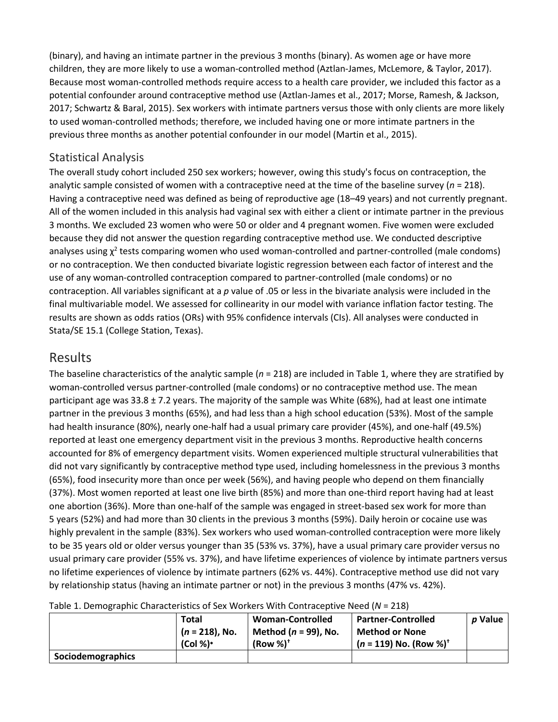(binary), and having an intimate partner in the previous 3 months (binary). As women age or have more children, they are more likely to use a woman-controlled method (Aztlan-James, McLemore, & Taylor, 2017). Because most woman-controlled methods require access to a health care provider, we included this factor as a potential confounder around contraceptive method use (Aztlan-James et al., 2017; Morse, Ramesh, & Jackson, 2017; Schwartz & Baral, 2015). Sex workers with intimate partners versus those with only clients are more likely to used woman-controlled methods; therefore, we included having one or more intimate partners in the previous three months as another potential confounder in our model (Martin et al., 2015).

#### Statistical Analysis

The overall study cohort included 250 sex workers; however, owing this study's focus on contraception, the analytic sample consisted of women with a contraceptive need at the time of the baseline survey (*n* = 218). Having a contraceptive need was defined as being of reproductive age (18–49 years) and not currently pregnant. All of the women included in this analysis had vaginal sex with either a client or intimate partner in the previous 3 months. We excluded 23 women who were 50 or older and 4 pregnant women. Five women were excluded because they did not answer the question regarding contraceptive method use. We conducted descriptive analyses using  $\chi^2$  tests comparing women who used woman-controlled and partner-controlled (male condoms) or no contraception. We then conducted bivariate logistic regression between each factor of interest and the use of any woman-controlled contraception compared to partner-controlled (male condoms) or no contraception. All variables significant at a *p* value of .05 or less in the bivariate analysis were included in the final multivariable model. We assessed for collinearity in our model with variance inflation factor testing. The results are shown as odds ratios (ORs) with 95% confidence intervals (CIs). All analyses were conducted in Stata/SE 15.1 (College Station, Texas).

#### Results

The baseline characteristics of the analytic sample (*n* = 218) are included in Table 1, where they are stratified by woman-controlled versus partner-controlled (male condoms) or no contraceptive method use. The mean participant age was 33.8  $\pm$  7.2 years. The majority of the sample was White (68%), had at least one intimate partner in the previous 3 months (65%), and had less than a high school education (53%). Most of the sample had health insurance (80%), nearly one-half had a usual primary care provider (45%), and one-half (49.5%) reported at least one emergency department visit in the previous 3 months. Reproductive health concerns accounted for 8% of emergency department visits. Women experienced multiple structural vulnerabilities that did not vary significantly by contraceptive method type used, including homelessness in the previous 3 months (65%), food insecurity more than once per week (56%), and having people who depend on them financially (37%). Most women reported at least one live birth (85%) and more than one-third report having had at least one abortion (36%). More than one-half of the sample was engaged in street-based sex work for more than 5 years (52%) and had more than 30 clients in the previous 3 months (59%). Daily heroin or cocaine use was highly prevalent in the sample (83%). Sex workers who used woman-controlled contraception were more likely to be 35 years old or older versus younger than 35 (53% vs. 37%), have a usual primary care provider versus no usual primary care provider (55% vs. 37%), and have lifetime experiences of violence by intimate partners versus no lifetime experiences of violence by intimate partners (62% vs. 44%). Contraceptive method use did not vary by relationship status (having an intimate partner or not) in the previous 3 months (47% vs. 42%).

|                   | Total             | <b>Woman-Controlled</b>  | <b>Partner-Controlled</b>            | p Value |  |  |
|-------------------|-------------------|--------------------------|--------------------------------------|---------|--|--|
|                   | $(n = 218)$ , No. | Method ( $n = 99$ ), No. | <b>Method or None</b>                |         |  |  |
|                   | $(Col %)^*$       | $(Row %)^{\dagger}$      | $(n = 119)$ No. (Row %) <sup>+</sup> |         |  |  |
| Sociodemographics |                   |                          |                                      |         |  |  |

Table 1. Demographic Characteristics of Sex Workers With Contraceptive Need (*N* = 218)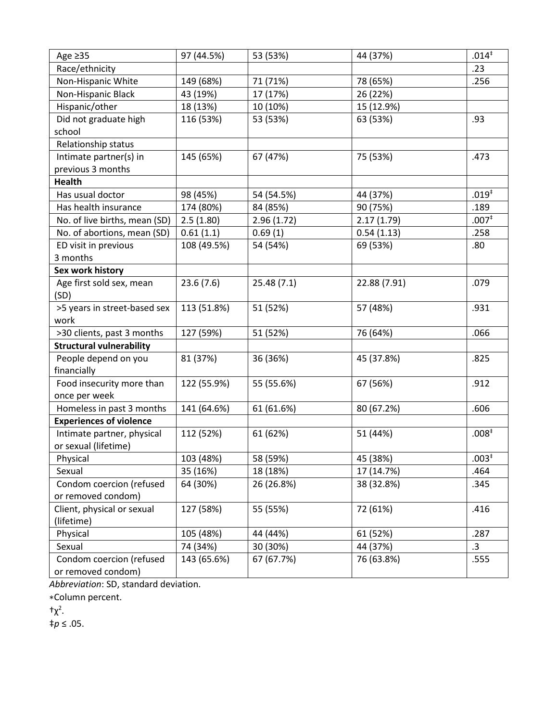| Age $\geq$ 35                   | 97 (44.5%)  | 53 (53%)   | 44 (37%)     | $.014*$           |
|---------------------------------|-------------|------------|--------------|-------------------|
| Race/ethnicity                  |             |            |              | .23               |
| Non-Hispanic White              | 149 (68%)   | 71 (71%)   | 78 (65%)     | .256              |
| Non-Hispanic Black              | 43 (19%)    | 17 (17%)   | 26 (22%)     |                   |
| Hispanic/other                  | 18 (13%)    | 10 (10%)   | 15 (12.9%)   |                   |
| Did not graduate high           | 116 (53%)   | 53 (53%)   | 63 (53%)     | .93               |
| school                          |             |            |              |                   |
| Relationship status             |             |            |              |                   |
| Intimate partner(s) in          | 145 (65%)   | 67 (47%)   | 75 (53%)     | .473              |
| previous 3 months               |             |            |              |                   |
| <b>Health</b>                   |             |            |              |                   |
| Has usual doctor                | 98 (45%)    | 54 (54.5%) | 44 (37%)     | $.019^{*}$        |
| Has health insurance            | 174 (80%)   | 84 (85%)   | 90 (75%)     | .189              |
| No. of live births, mean (SD)   | 2.5(1.80)   | 2.96(1.72) | 2.17(1.79)   | .007 <sup>†</sup> |
| No. of abortions, mean (SD)     | 0.61(1.1)   | 0.69(1)    | 0.54(1.13)   | .258              |
| ED visit in previous            | 108 (49.5%) | 54 (54%)   | 69 (53%)     | .80               |
| 3 months                        |             |            |              |                   |
| Sex work history                |             |            |              |                   |
| Age first sold sex, mean        | 23.6(7.6)   | 25.48(7.1) | 22.88 (7.91) | .079              |
| (SD)                            |             |            |              |                   |
| >5 years in street-based sex    | 113 (51.8%) | 51 (52%)   | 57 (48%)     | .931              |
| work                            |             |            |              |                   |
| >30 clients, past 3 months      | 127 (59%)   | 51 (52%)   | 76 (64%)     | .066              |
| <b>Structural vulnerability</b> |             |            |              |                   |
| People depend on you            | 81 (37%)    | 36 (36%)   | 45 (37.8%)   | .825              |
| financially                     |             |            |              |                   |
| Food insecurity more than       | 122 (55.9%) | 55 (55.6%) | 67 (56%)     | .912              |
| once per week                   |             |            |              |                   |
| Homeless in past 3 months       | 141 (64.6%) | 61 (61.6%) | 80 (67.2%)   | .606              |
| <b>Experiences of violence</b>  |             |            |              |                   |
| Intimate partner, physical      | 112 (52%)   | 61 (62%)   | 51 (44%)     | .008 <sup>‡</sup> |
| or sexual (lifetime)            |             |            |              |                   |
| Physical                        | 103 (48%)   | 58 (59%)   | 45 (38%)     | $.003*$           |
| Sexual                          | 35 (16%)    | 18 (18%)   | 17 (14.7%)   | .464              |
| Condom coercion (refused        | 64 (30%)    | 26 (26.8%) | 38 (32.8%)   | .345              |
| or removed condom)              |             |            |              |                   |
| Client, physical or sexual      | 127 (58%)   | 55 (55%)   | 72 (61%)     | .416              |
| (lifetime)                      |             |            |              |                   |
| Physical                        | 105 (48%)   | 44 (44%)   | 61 (52%)     | .287              |
| Sexual                          | 74 (34%)    | 30 (30%)   | 44 (37%)     | .3                |
| Condom coercion (refused        | 143 (65.6%) | 67 (67.7%) | 76 (63.8%)   | .555              |
| or removed condom)              |             |            |              |                   |

*Abbreviation*: SD, standard deviation.

∗Column percent.

 $+χ<sup>2</sup>$ .

‡ *p* ≤ .05.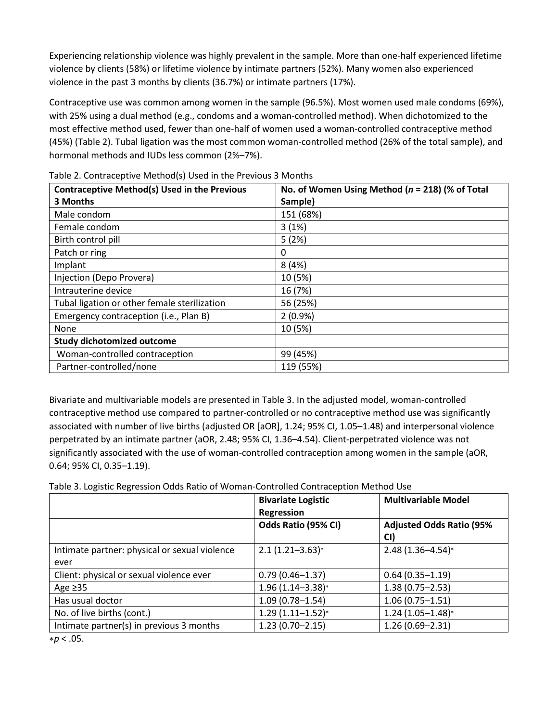Experiencing relationship violence was highly prevalent in the sample. More than one-half experienced lifetime violence by clients (58%) or lifetime violence by intimate partners (52%). Many women also experienced violence in the past 3 months by clients (36.7%) or intimate partners (17%).

Contraceptive use was common among women in the sample (96.5%). Most women used male condoms (69%), with 25% using a dual method (e.g., condoms and a woman-controlled method). When dichotomized to the most effective method used, fewer than one-half of women used a woman-controlled contraceptive method (45%) (Table 2). Tubal ligation was the most common woman-controlled method (26% of the total sample), and hormonal methods and IUDs less common (2%–7%).

| <b>Contraceptive Method(s) Used in the Previous</b><br>3 Months | No. of Women Using Method ( $n = 218$ ) (% of Total<br>Sample) |  |
|-----------------------------------------------------------------|----------------------------------------------------------------|--|
| Male condom                                                     | 151 (68%)                                                      |  |
| Female condom                                                   | 3(1%)                                                          |  |
| Birth control pill                                              | 5(2%)                                                          |  |
| Patch or ring                                                   | 0                                                              |  |
| Implant                                                         | 8(4%)                                                          |  |
| Injection (Depo Provera)                                        | 10 (5%)                                                        |  |
| Intrauterine device                                             | 16 (7%)                                                        |  |
| Tubal ligation or other female sterilization                    | 56 (25%)                                                       |  |
| Emergency contraception (i.e., Plan B)                          | $2(0.9\%)$                                                     |  |
| None                                                            | 10 (5%)                                                        |  |
| <b>Study dichotomized outcome</b>                               |                                                                |  |
| Woman-controlled contraception                                  | 99 (45%)                                                       |  |
| Partner-controlled/none                                         | 119 (55%)                                                      |  |

Table 2. Contraceptive Method(s) Used in the Previous 3 Months

Bivariate and multivariable models are presented in Table 3. In the adjusted model, woman-controlled contraceptive method use compared to partner-controlled or no contraceptive method use was significantly associated with number of live births (adjusted OR [aOR], 1.24; 95% CI, 1.05–1.48) and interpersonal violence perpetrated by an intimate partner (aOR, 2.48; 95% CI, 1.36–4.54). Client-perpetrated violence was not significantly associated with the use of woman-controlled contraception among women in the sample (aOR, 0.64; 95% CI, 0.35–1.19).

Table 3. Logistic Regression Odds Ratio of Woman-Controlled Contraception Method Use

|                                               | <b>Bivariate Logistic</b><br>Regression | <b>Multivariable Model</b>             |
|-----------------------------------------------|-----------------------------------------|----------------------------------------|
|                                               | Odds Ratio (95% CI)                     | <b>Adjusted Odds Ratio (95%</b><br>CI) |
| Intimate partner: physical or sexual violence | $2.1(1.21 - 3.63)*$                     | $2.48(1.36 - 4.54)*$                   |
| ever                                          |                                         |                                        |
| Client: physical or sexual violence ever      | $0.79(0.46 - 1.37)$                     | $0.64(0.35 - 1.19)$                    |
| Age $\geq$ 35                                 | $1.96(1.14 - 3.38)*$                    | $1.38(0.75 - 2.53)$                    |
| Has usual doctor                              | $1.09(0.78 - 1.54)$                     | $1.06(0.75 - 1.51)$                    |
| No. of live births (cont.)                    | $1.29(1.11 - 1.52)*$                    | $1.24(1.05 - 1.48)^{*}$                |
| Intimate partner(s) in previous 3 months      | $1.23(0.70 - 2.15)$                     | $1.26(0.69 - 2.31)$                    |

∗*p* < .05.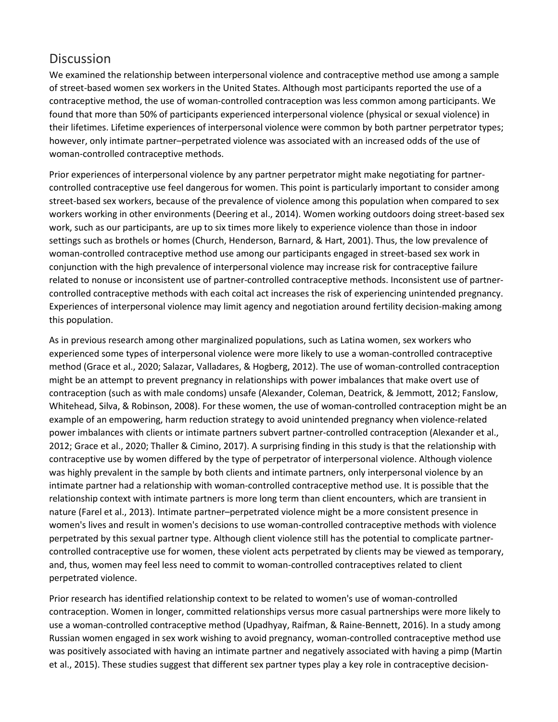## **Discussion**

We examined the relationship between interpersonal violence and contraceptive method use among a sample of street-based women sex workers in the United States. Although most participants reported the use of a contraceptive method, the use of woman-controlled contraception was less common among participants. We found that more than 50% of participants experienced interpersonal violence (physical or sexual violence) in their lifetimes. Lifetime experiences of interpersonal violence were common by both partner perpetrator types; however, only intimate partner–perpetrated violence was associated with an increased odds of the use of woman-controlled contraceptive methods.

Prior experiences of interpersonal violence by any partner perpetrator might make negotiating for partnercontrolled contraceptive use feel dangerous for women. This point is particularly important to consider among street-based sex workers, because of the prevalence of violence among this population when compared to sex workers working in other environments (Deering et al., 2014). Women working outdoors doing street-based sex work, such as our participants, are up to six times more likely to experience violence than those in indoor settings such as brothels or homes (Church, Henderson, Barnard, & Hart, 2001). Thus, the low prevalence of woman-controlled contraceptive method use among our participants engaged in street-based sex work in conjunction with the high prevalence of interpersonal violence may increase risk for contraceptive failure related to nonuse or inconsistent use of partner-controlled contraceptive methods. Inconsistent use of partnercontrolled contraceptive methods with each coital act increases the risk of experiencing unintended pregnancy. Experiences of interpersonal violence may limit agency and negotiation around fertility decision-making among this population.

As in previous research among other marginalized populations, such as Latina women, sex workers who experienced some types of interpersonal violence were more likely to use a woman-controlled contraceptive method (Grace et al., 2020; Salazar, Valladares, & Hogberg, 2012). The use of woman-controlled contraception might be an attempt to prevent pregnancy in relationships with power imbalances that make overt use of contraception (such as with male condoms) unsafe (Alexander, Coleman, Deatrick, & Jemmott, 2012; Fanslow, Whitehead, Silva, & Robinson, 2008). For these women, the use of woman-controlled contraception might be an example of an empowering, harm reduction strategy to avoid unintended pregnancy when violence-related power imbalances with clients or intimate partners subvert partner-controlled contraception (Alexander et al., 2012; Grace et al., 2020; Thaller & Cimino, 2017). A surprising finding in this study is that the relationship with contraceptive use by women differed by the type of perpetrator of interpersonal violence. Although violence was highly prevalent in the sample by both clients and intimate partners, only interpersonal violence by an intimate partner had a relationship with woman-controlled contraceptive method use. It is possible that the relationship context with intimate partners is more long term than client encounters, which are transient in nature (Farel et al., 2013). Intimate partner–perpetrated violence might be a more consistent presence in women's lives and result in women's decisions to use woman-controlled contraceptive methods with violence perpetrated by this sexual partner type. Although client violence still has the potential to complicate partnercontrolled contraceptive use for women, these violent acts perpetrated by clients may be viewed as temporary, and, thus, women may feel less need to commit to woman-controlled contraceptives related to client perpetrated violence.

Prior research has identified relationship context to be related to women's use of woman-controlled contraception. Women in longer, committed relationships versus more casual partnerships were more likely to use a woman-controlled contraceptive method (Upadhyay, Raifman, & Raine-Bennett, 2016). In a study among Russian women engaged in sex work wishing to avoid pregnancy, woman-controlled contraceptive method use was positively associated with having an intimate partner and negatively associated with having a pimp (Martin et al., 2015). These studies suggest that different sex partner types play a key role in contraceptive decision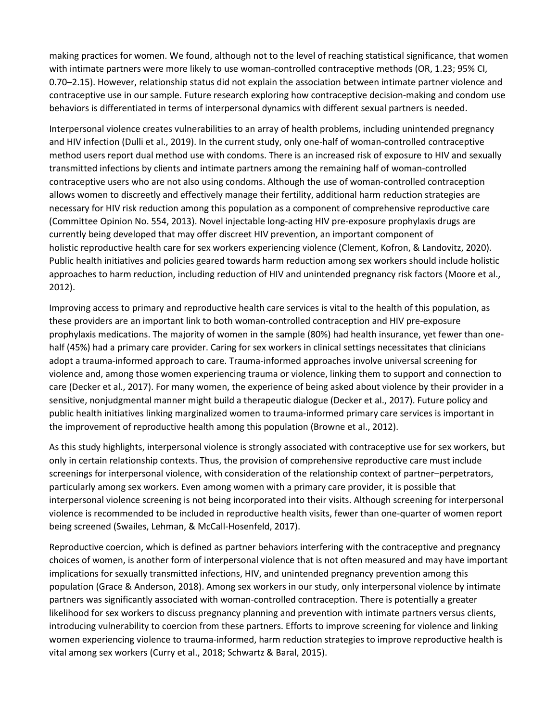making practices for women. We found, although not to the level of reaching statistical significance, that women with intimate partners were more likely to use woman-controlled contraceptive methods (OR, 1.23; 95% CI, 0.70–2.15). However, relationship status did not explain the association between intimate partner violence and contraceptive use in our sample. Future research exploring how contraceptive decision-making and condom use behaviors is differentiated in terms of interpersonal dynamics with different sexual partners is needed.

Interpersonal violence creates vulnerabilities to an array of health problems, including unintended pregnancy and HIV infection (Dulli et al., 2019). In the current study, only one-half of woman-controlled contraceptive method users report dual method use with condoms. There is an increased risk of exposure to HIV and sexually transmitted infections by clients and intimate partners among the remaining half of woman-controlled contraceptive users who are not also using condoms. Although the use of woman-controlled contraception allows women to discreetly and effectively manage their fertility, additional harm reduction strategies are necessary for HIV risk reduction among this population as a component of comprehensive reproductive care (Committee Opinion No. 554, 2013). Novel injectable long-acting HIV pre-exposure prophylaxis drugs are currently being developed that may offer discreet HIV prevention, an important component of holistic reproductive health care for sex workers experiencing violence (Clement, Kofron, & Landovitz, 2020). Public health initiatives and policies geared towards harm reduction among sex workers should include holistic approaches to harm reduction, including reduction of HIV and unintended pregnancy risk factors (Moore et al., 2012).

Improving access to primary and reproductive health care services is vital to the health of this population, as these providers are an important link to both woman-controlled contraception and HIV pre-exposure prophylaxis medications. The majority of women in the sample (80%) had health insurance, yet fewer than onehalf (45%) had a primary care provider. Caring for sex workers in clinical settings necessitates that clinicians adopt a trauma-informed approach to care. Trauma-informed approaches involve universal screening for violence and, among those women experiencing trauma or violence, linking them to support and connection to care (Decker et al., 2017). For many women, the experience of being asked about violence by their provider in a sensitive, nonjudgmental manner might build a therapeutic dialogue (Decker et al., 2017). Future policy and public health initiatives linking marginalized women to trauma-informed primary care services is important in the improvement of reproductive health among this population (Browne et al., 2012).

As this study highlights, interpersonal violence is strongly associated with contraceptive use for sex workers, but only in certain relationship contexts. Thus, the provision of comprehensive reproductive care must include screenings for interpersonal violence, with consideration of the relationship context of partner–perpetrators, particularly among sex workers. Even among women with a primary care provider, it is possible that interpersonal violence screening is not being incorporated into their visits. Although screening for interpersonal violence is recommended to be included in reproductive health visits, fewer than one-quarter of women report being screened (Swailes, Lehman, & McCall-Hosenfeld, 2017).

Reproductive coercion, which is defined as partner behaviors interfering with the contraceptive and pregnancy choices of women, is another form of interpersonal violence that is not often measured and may have important implications for sexually transmitted infections, HIV, and unintended pregnancy prevention among this population (Grace & Anderson, 2018). Among sex workers in our study, only interpersonal violence by intimate partners was significantly associated with woman-controlled contraception. There is potentially a greater likelihood for sex workers to discuss pregnancy planning and prevention with intimate partners versus clients, introducing vulnerability to coercion from these partners. Efforts to improve screening for violence and linking women experiencing violence to trauma-informed, harm reduction strategies to improve reproductive health is vital among sex workers (Curry et al., 2018; Schwartz & Baral, 2015).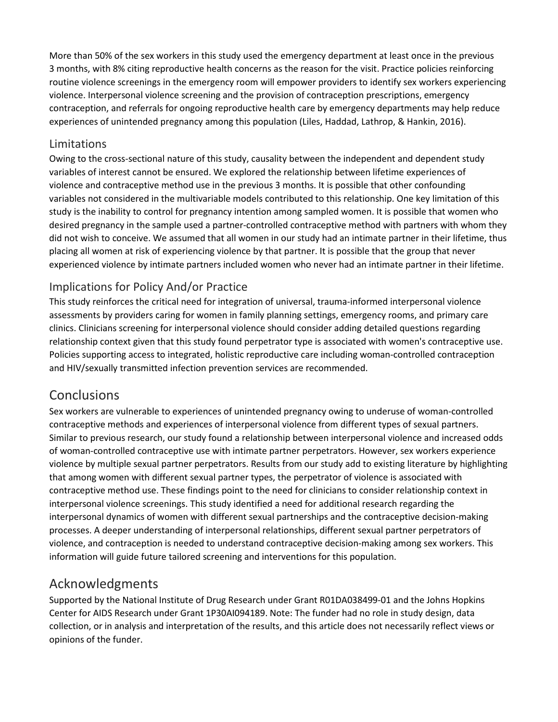More than 50% of the sex workers in this study used the emergency department at least once in the previous 3 months, with 8% citing reproductive health concerns as the reason for the visit. Practice policies reinforcing routine violence screenings in the emergency room will empower providers to identify sex workers experiencing violence. Interpersonal violence screening and the provision of contraception prescriptions, emergency contraception, and referrals for ongoing reproductive health care by emergency departments may help reduce experiences of unintended pregnancy among this population (Liles, Haddad, Lathrop, & Hankin, 2016).

#### Limitations

Owing to the cross-sectional nature of this study, causality between the independent and dependent study variables of interest cannot be ensured. We explored the relationship between lifetime experiences of violence and contraceptive method use in the previous 3 months. It is possible that other confounding variables not considered in the multivariable models contributed to this relationship. One key limitation of this study is the inability to control for pregnancy intention among sampled women. It is possible that women who desired pregnancy in the sample used a partner-controlled contraceptive method with partners with whom they did not wish to conceive. We assumed that all women in our study had an intimate partner in their lifetime, thus placing all women at risk of experiencing violence by that partner. It is possible that the group that never experienced violence by intimate partners included women who never had an intimate partner in their lifetime.

#### Implications for Policy And/or Practice

This study reinforces the critical need for integration of universal, trauma-informed interpersonal violence assessments by providers caring for women in family planning settings, emergency rooms, and primary care clinics. Clinicians screening for interpersonal violence should consider adding detailed questions regarding relationship context given that this study found perpetrator type is associated with women's contraceptive use. Policies supporting access to integrated, holistic reproductive care including woman-controlled contraception and HIV/sexually transmitted infection prevention services are recommended.

## **Conclusions**

Sex workers are vulnerable to experiences of unintended pregnancy owing to underuse of woman-controlled contraceptive methods and experiences of interpersonal violence from different types of sexual partners. Similar to previous research, our study found a relationship between interpersonal violence and increased odds of woman-controlled contraceptive use with intimate partner perpetrators. However, sex workers experience violence by multiple sexual partner perpetrators. Results from our study add to existing literature by highlighting that among women with different sexual partner types, the perpetrator of violence is associated with contraceptive method use. These findings point to the need for clinicians to consider relationship context in interpersonal violence screenings. This study identified a need for additional research regarding the interpersonal dynamics of women with different sexual partnerships and the contraceptive decision-making processes. A deeper understanding of interpersonal relationships, different sexual partner perpetrators of violence, and contraception is needed to understand contraceptive decision-making among sex workers. This information will guide future tailored screening and interventions for this population.

## Acknowledgments

Supported by the National Institute of Drug Research under Grant R01DA038499-01 and the Johns Hopkins Center for AIDS Research under Grant 1P30AI094189. Note: The funder had no role in study design, data collection, or in analysis and interpretation of the results, and this article does not necessarily reflect views or opinions of the funder.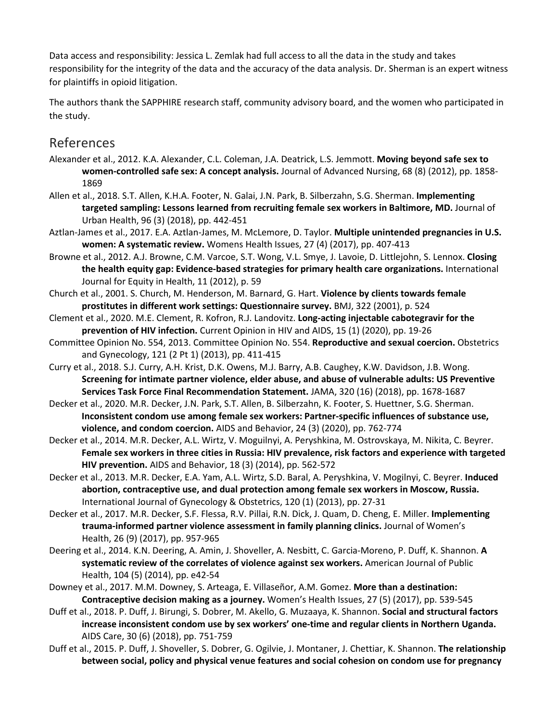Data access and responsibility: Jessica L. Zemlak had full access to all the data in the study and takes responsibility for the integrity of the data and the accuracy of the data analysis. Dr. Sherman is an expert witness for plaintiffs in opioid litigation.

The authors thank the SAPPHIRE research staff, community advisory board, and the women who participated in the study.

### References

- Alexander et al., 2012. K.A. Alexander, C.L. Coleman, J.A. Deatrick, L.S. Jemmott. **Moving beyond safe sex to women-controlled safe sex: A concept analysis.** Journal of Advanced Nursing, 68 (8) (2012), pp. 1858- 1869
- Allen et al., 2018. S.T. Allen, K.H.A. Footer, N. Galai, J.N. Park, B. Silberzahn, S.G. Sherman. **Implementing targeted sampling: Lessons learned from recruiting female sex workers in Baltimore, MD.** Journal of Urban Health, 96 (3) (2018), pp. 442-451
- Aztlan-James et al., 2017. E.A. Aztlan-James, M. McLemore, D. Taylor. **Multiple unintended pregnancies in U.S. women: A systematic review.** Womens Health Issues, 27 (4) (2017), pp. 407-413
- Browne et al., 2012. A.J. Browne, C.M. Varcoe, S.T. Wong, V.L. Smye, J. Lavoie, D. Littlejohn, S. Lennox. **Closing the health equity gap: Evidence-based strategies for primary health care organizations.** International Journal for Equity in Health, 11 (2012), p. 59
- Church et al., 2001. S. Church, M. Henderson, M. Barnard, G. Hart. **Violence by clients towards female prostitutes in different work settings: Questionnaire survey.** BMJ, 322 (2001), p. 524
- Clement et al., 2020. M.E. Clement, R. Kofron, R.J. Landovitz. **Long-acting injectable cabotegravir for the prevention of HIV infection.** Current Opinion in HIV and AIDS, 15 (1) (2020), pp. 19-26
- Committee Opinion No. 554, 2013. Committee Opinion No. 554. **Reproductive and sexual coercion.** Obstetrics and Gynecology, 121 (2 Pt 1) (2013), pp. 411-415
- Curry et al., 2018. S.J. Curry, A.H. Krist, D.K. Owens, M.J. Barry, A.B. Caughey, K.W. Davidson, J.B. Wong. **Screening for intimate partner violence, elder abuse, and abuse of vulnerable adults: US Preventive Services Task Force Final Recommendation Statement.** JAMA, 320 (16) (2018), pp. 1678-1687
- Decker et al., 2020. M.R. Decker, J.N. Park, S.T. Allen, B. Silberzahn, K. Footer, S. Huettner, S.G. Sherman. **Inconsistent condom use among female sex workers: Partner-specific influences of substance use, violence, and condom coercion.** AIDS and Behavior, 24 (3) (2020), pp. 762-774
- Decker et al., 2014. M.R. Decker, A.L. Wirtz, V. Moguilnyi, A. Peryshkina, M. Ostrovskaya, M. Nikita, C. Beyrer. **Female sex workers in three cities in Russia: HIV prevalence, risk factors and experience with targeted HIV prevention.** AIDS and Behavior, 18 (3) (2014), pp. 562-572
- Decker et al., 2013. M.R. Decker, E.A. Yam, A.L. Wirtz, S.D. Baral, A. Peryshkina, V. Mogilnyi, C. Beyrer. **Induced abortion, contraceptive use, and dual protection among female sex workers in Moscow, Russia.**  International Journal of Gynecology & Obstetrics, 120 (1) (2013), pp. 27-31
- Decker et al., 2017. M.R. Decker, S.F. Flessa, R.V. Pillai, R.N. Dick, J. Quam, D. Cheng, E. Miller. **Implementing trauma-informed partner violence assessment in family planning clinics.** Journal of Women's Health, 26 (9) (2017), pp. 957-965
- Deering et al., 2014. K.N. Deering, A. Amin, J. Shoveller, A. Nesbitt, C. Garcia-Moreno, P. Duff, K. Shannon. **A systematic review of the correlates of violence against sex workers.** American Journal of Public Health, 104 (5) (2014), pp. e42-54
- Downey et al., 2017. M.M. Downey, S. Arteaga, E. Villaseñor, A.M. Gomez. **More than a destination: Contraceptive decision making as a journey.** Women's Health Issues, 27 (5) (2017), pp. 539-545
- Duff et al., 2018. P. Duff, J. Birungi, S. Dobrer, M. Akello, G. Muzaaya, K. Shannon. **Social and structural factors increase inconsistent condom use by sex workers' one-time and regular clients in Northern Uganda.**  AIDS Care, 30 (6) (2018), pp. 751-759
- Duff et al., 2015. P. Duff, J. Shoveller, S. Dobrer, G. Ogilvie, J. Montaner, J. Chettiar, K. Shannon. **The relationship between social, policy and physical venue features and social cohesion on condom use for pregnancy**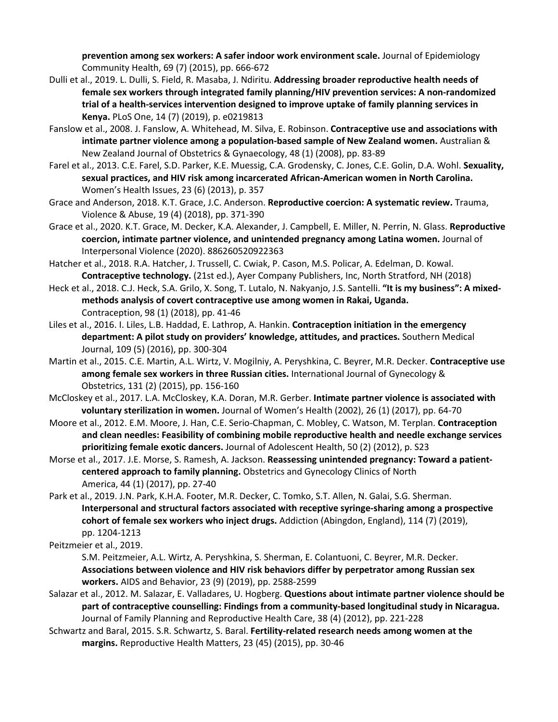**prevention among sex workers: A safer indoor work environment scale.** Journal of Epidemiology Community Health, 69 (7) (2015), pp. 666-672

- Dulli et al., 2019. L. Dulli, S. Field, R. Masaba, J. Ndiritu. **Addressing broader reproductive health needs of female sex workers through integrated family planning/HIV prevention services: A non-randomized trial of a health-services intervention designed to improve uptake of family planning services in Kenya.** PLoS One, 14 (7) (2019), p. e0219813
- Fanslow et al., 2008. J. Fanslow, A. Whitehead, M. Silva, E. Robinson. **Contraceptive use and associations with intimate partner violence among a population-based sample of New Zealand women.** Australian & New Zealand Journal of Obstetrics & Gynaecology, 48 (1) (2008), pp. 83-89
- Farel et al., 2013. C.E. Farel, S.D. Parker, K.E. Muessig, C.A. Grodensky, C. Jones, C.E. Golin, D.A. Wohl. **Sexuality, sexual practices, and HIV risk among incarcerated African-American women in North Carolina.**  Women's Health Issues, 23 (6) (2013), p. 357
- Grace and Anderson, 2018. K.T. Grace, J.C. Anderson. **Reproductive coercion: A systematic review.** Trauma, Violence & Abuse, 19 (4) (2018), pp. 371-390
- Grace et al., 2020. K.T. Grace, M. Decker, K.A. Alexander, J. Campbell, E. Miller, N. Perrin, N. Glass. **Reproductive coercion, intimate partner violence, and unintended pregnancy among Latina women.** Journal of Interpersonal Violence (2020). 886260520922363
- Hatcher et al., 2018. R.A. Hatcher, J. Trussell, C. Cwiak, P. Cason, M.S. Policar, A. Edelman, D. Kowal. **Contraceptive technology.** (21st ed.), Ayer Company Publishers, Inc, North Stratford, NH (2018)
- Heck et al., 2018. C.J. Heck, S.A. Grilo, X. Song, T. Lutalo, N. Nakyanjo, J.S. Santelli. **"It is my business": A mixedmethods analysis of covert contraceptive use among women in Rakai, Uganda.**  Contraception, 98 (1) (2018), pp. 41-46
- Liles et al., 2016. I. Liles, L.B. Haddad, E. Lathrop, A. Hankin. **Contraception initiation in the emergency department: A pilot study on providers' knowledge, attitudes, and practices.** Southern Medical Journal, 109 (5) (2016), pp. 300-304
- Martin et al., 2015. C.E. Martin, A.L. Wirtz, V. Mogilniy, A. Peryshkina, C. Beyrer, M.R. Decker. **Contraceptive use among female sex workers in three Russian cities.** International Journal of Gynecology & Obstetrics, 131 (2) (2015), pp. 156-160
- McCloskey et al., 2017. L.A. McCloskey, K.A. Doran, M.R. Gerber. **Intimate partner violence is associated with voluntary sterilization in women.** Journal of Women's Health (2002), 26 (1) (2017), pp. 64-70
- Moore et al., 2012. E.M. Moore, J. Han, C.E. Serio-Chapman, C. Mobley, C. Watson, M. Terplan. **Contraception and clean needles: Feasibility of combining mobile reproductive health and needle exchange services prioritizing female exotic dancers.** Journal of Adolescent Health, 50 (2) (2012), p. S23
- Morse et al., 2017. J.E. Morse, S. Ramesh, A. Jackson. **Reassessing unintended pregnancy: Toward a patientcentered approach to family planning.** Obstetrics and Gynecology Clinics of North America, 44 (1) (2017), pp. 27-40
- Park et al., 2019. J.N. Park, K.H.A. Footer, M.R. Decker, C. Tomko, S.T. Allen, N. Galai, S.G. Sherman. **Interpersonal and structural factors associated with receptive syringe-sharing among a prospective cohort of female sex workers who inject drugs.** Addiction (Abingdon, England), 114 (7) (2019), pp. 1204-1213

Peitzmeier et al., 2019.

S.M. Peitzmeier, A.L. Wirtz, A. Peryshkina, S. Sherman, E. Colantuoni, C. Beyrer, M.R. Decker. **Associations between violence and HIV risk behaviors differ by perpetrator among Russian sex workers.** AIDS and Behavior, 23 (9) (2019), pp. 2588-2599

- Salazar et al., 2012. M. Salazar, E. Valladares, U. Hogberg. **Questions about intimate partner violence should be part of contraceptive counselling: Findings from a community-based longitudinal study in Nicaragua.**  Journal of Family Planning and Reproductive Health Care, 38 (4) (2012), pp. 221-228
- Schwartz and Baral, 2015. S.R. Schwartz, S. Baral. **Fertility-related research needs among women at the margins.** Reproductive Health Matters, 23 (45) (2015), pp. 30-46